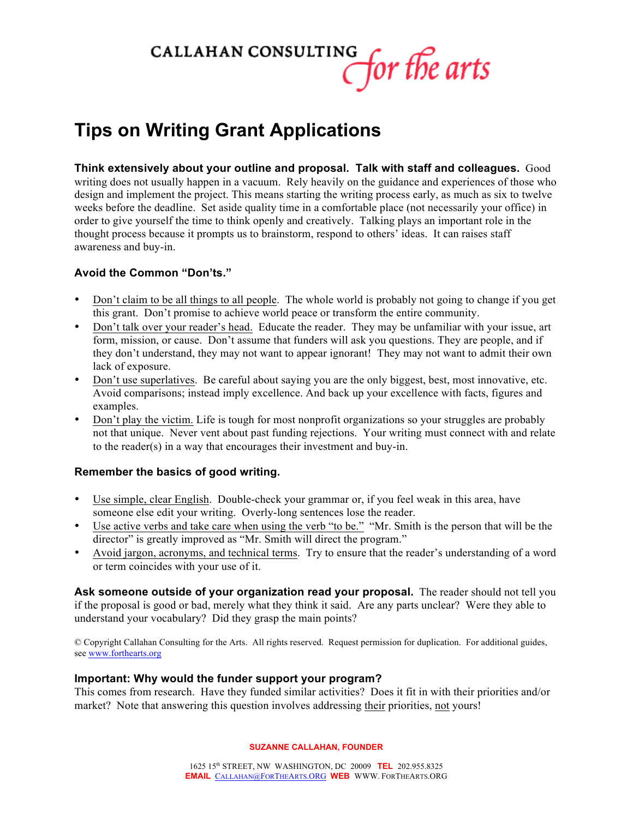

# **Tips on Writing Grant Applications**

**Think extensively about your outline and proposal. Talk with staff and colleagues.** Good writing does not usually happen in a vacuum. Rely heavily on the guidance and experiences of those who design and implement the project. This means starting the writing process early, as much as six to twelve weeks before the deadline. Set aside quality time in a comfortable place (not necessarily your office) in order to give yourself the time to think openly and creatively. Talking plays an important role in the thought process because it prompts us to brainstorm, respond to others' ideas. It can raises staff awareness and buy-in.

### **Avoid the Common "Don'ts."**

- Don't claim to be all things to all people. The whole world is probably not going to change if you get this grant. Don't promise to achieve world peace or transform the entire community.
- Don't talk over your reader's head. Educate the reader. They may be unfamiliar with your issue, art form, mission, or cause. Don't assume that funders will ask you questions. They are people, and if they don't understand, they may not want to appear ignorant! They may not want to admit their own lack of exposure.
- Don't use superlatives. Be careful about saying you are the only biggest, best, most innovative, etc. Avoid comparisons; instead imply excellence. And back up your excellence with facts, figures and examples.
- Don't play the victim. Life is tough for most nonprofit organizations so your struggles are probably not that unique. Never vent about past funding rejections. Your writing must connect with and relate to the reader(s) in a way that encourages their investment and buy-in.

# **Remember the basics of good writing.**

- Use simple, clear English. Double-check your grammar or, if you feel weak in this area, have someone else edit your writing. Overly-long sentences lose the reader.
- Use active verbs and take care when using the verb "to be." "Mr. Smith is the person that will be the director" is greatly improved as "Mr. Smith will direct the program."
- Avoid jargon, acronyms, and technical terms. Try to ensure that the reader's understanding of a word or term coincides with your use of it.

**Ask someone outside of your organization read your proposal.** The reader should not tell you if the proposal is good or bad, merely what they think it said. Are any parts unclear? Were they able to understand your vocabulary? Did they grasp the main points?

© Copyright Callahan Consulting for the Arts. All rights reserved. Request permission for duplication. For additional guides, see www.forthearts.org

#### **Important: Why would the funder support your program?**

This comes from research. Have they funded similar activities? Does it fit in with their priorities and/or market? Note that answering this question involves addressing their priorities, not yours!

**SUZANNE CALLAHAN, FOUNDER**